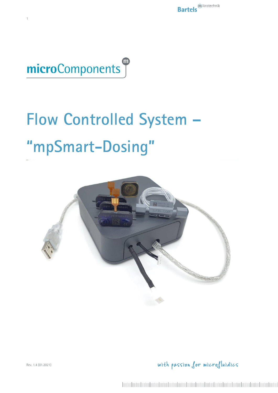

1

# <span id="page-0-1"></span><span id="page-0-0"></span>**Flow Controlled System – "mpSmart-Dosing"**



with passion for microfluidics

Rev. 1.4 (01.2021)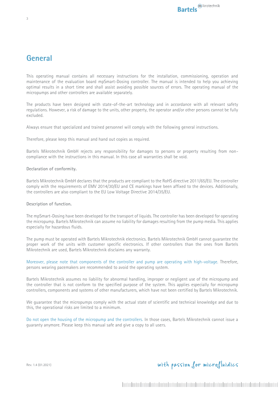## <span id="page-2-0"></span>**General**

This operating manual contains all necessary instructions for the installation, commissioning, operation and maintenance of the evaluation board mpSmart-Dosing controller. The manual is intended to help you achieving optimal results in a short time and shall assist avoiding possible sources of errors. The operating manual of the micropumps and other controllers are available separately.

The products have been designed with state-of-the-art technology and in accordance with all relevant safety regulations. However, a risk of damage to the units, other property, the operator and/or other persons cannot be fully excluded.

Always ensure that specialized and trained personnel will comply with the following general instructions.

Therefore, please keep this manual and hand out copies as required.

Bartels Mikrotechnik GmbH rejects any responsibility for damages to persons or property resulting from noncompliance with the instructions in this manual. In this case all warranties shall be void.

#### <span id="page-2-1"></span>**Declaration of conformity.**

Bartels Mikrotechnik GmbH declares that the products are compliant to the RoHS directive 2011/65/EU. The controller comply with the requirements of EMV 2014/30/EU and CE markings have been affixed to the devices. Additionally, the controllers are also compliant to the EU Low Voltage Directive 2014/35/EU.

#### <span id="page-2-2"></span>**Description of function.**

The mpSmart-Dosing have been developed for the transport of liquids. The controller has been developed for operating the micropump. Bartels Mikrotechnik can assume no liability for damages resulting from the pump media. This applies especially for hazardous fluids.

The pump must be operated with Bartels Mikrotechnik electronics. Bartels Mikrotechnik GmbH cannot guarantee the proper work of the units with customer specific electronics. If other controllers than the ones from Bartels Mikrotechnik are used, Bartels Mikrotechnik disclaims any warranty.

Moreover, please note that components of the controller and pump are operating with high-voltage. Therefore, persons wearing pacemakers are recommended to avoid the operating system.

Bartels Mikrotechnik assumes no liability for abnormal handling, improper or negligent use of the micropump and the controller that is not conform to the specified purpose of the system. This applies especially for micropump controllers, components and systems of other manufacturers, which have not been certified by Bartels Mikrotechnik.

We guarantee that the micropumps comply with the actual state of scientific and technical knowledge and due to this, the operational risks are limited to a minimum.

Do not open the housing of the micropump and the controllers. In those cases, Bartels Mikrotechnik cannot issue a guaranty anymore. Please keep this manual safe and give a copy to all users.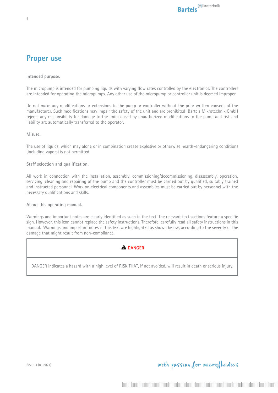## <span id="page-3-0"></span>**Proper use**

4

<span id="page-3-1"></span>**Intended purpose.**

The micropump is intended for pumping liquids with varying flow rates controlled by the electronics. The controllers are intended for operating the micropumps. Any other use of the micropump or controller unit is deemed improper.

Do not make any modifications or extensions to the pump or controller without the prior written consent of the manufacturer. Such modifications may impair the safety of the unit and are prohibited! Bartels Mikrotechnik GmbH rejects any responsibility for damage to the unit caused by unauthorized modifications to the pump and risk and liability are automatically transferred to the operator.

<span id="page-3-2"></span>**Misuse.**

The use of liquids, which may alone or in combination create explosive or otherwise health-endangering conditions (including vapors) is not permitted.

#### <span id="page-3-3"></span>**Staff selection and qualification.**

All work in connection with the installation, assembly, commissioning/decommissioning, disassembly, operation, servicing, cleaning and repairing of the pump and the controller must be carried out by qualified, suitably trained and instructed personnel. Work on electrical components and assemblies must be carried out by personnel with the necessary qualifications and skills.

<span id="page-3-4"></span>**About this operating manual.**

Warnings and important notes are clearly identified as such in the text. The relevant text sections feature a specific sign. However, this icon cannot replace the safety instructions. Therefore, carefully read all safety instructions in this manual. Warnings and important notes in this text are highlighted as shown below, according to the severity of the damage that might result from non-compliance.



DANGER indicates a hazard with a high level of RISK THAT, if not avoided, will result in death or serious injury.

with passion for microfluidics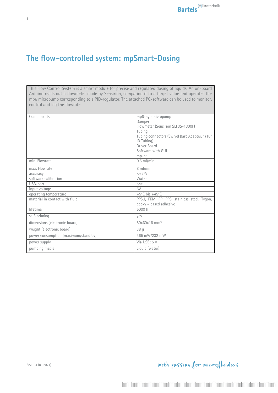# <span id="page-4-0"></span>**The flow-controlled system: mpSmart-Dosing**

This Flow Control System is a smart module for precise and regulated dosing of liquids. An on-board Arduino reads out a flowmeter made by Sensirion, comparing it to a target value and operates the mp6 micropump corresponding to a PID-regulator. The attached PC-software can be used to monitor, control and log the flowrate.

| Components                           | mp6-hyb micropump                             |
|--------------------------------------|-----------------------------------------------|
|                                      | Damper                                        |
|                                      | Flowmeter (Sensirion SLF3S-1300F)             |
|                                      | Tubing                                        |
|                                      | Tubing connectors (Swivel Barb Adapter, 1/16" |
|                                      | ID Tubing)                                    |
|                                      | Driver Board                                  |
|                                      | Software with GUI                             |
|                                      | $mp-hc$                                       |
| min. Flowrate                        | $0.5$ ml/min                                  |
| max. Flowrate                        | 8 ml/min                                      |
| accuracy                             | $< +5%$                                       |
| software calibration                 | Water                                         |
| USB-port                             | one                                           |
| input voltage                        | 5V                                            |
| operating temperature                | +5 $°C$ bis +45 $°C$                          |
| material in contact with fluid       | PPSU, FKM, PP, PPS, stainless steel, Tygon,   |
|                                      | epoxy - based adhesive                        |
| lifetime                             | 5000 h                                        |
| self-priming                         | yes                                           |
| dimensions (electronic board)        | 80x60x18 mm <sup>3</sup>                      |
| weight (electronic board)            | 38q                                           |
| power consumption (maximum/stand by) | 365 mW/232 mW                                 |
| power supply                         | Via USB; 5 V                                  |
| pumping media                        | Liquid (water)                                |

Rev. 1.4 (01.2021)

# with passion for microfluidics

5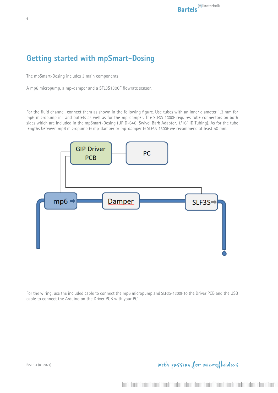# <span id="page-5-0"></span>**Getting started with mpSmart-Dosing**

The mpSmart-Dosing includes 3 main components:

A mp6 micropump, a mp-damper and a SFL3S1300F flowrate sensor.

For the fluid channel, connect them as shown in the following figure. Use tubes with an inner diameter 1.3 mm for mp6 micropump in- and outlets as well as for the mp-damper. The SLF3S-1300F requires tube connectors on both sides which are included in the mpSmart-Dosing (UP D-646; Swivel Barb Adapter, 1/16" ID Tubing). As for the tube lengths between mp6 micropump & mp-damper or mp-damper & SLF3S-1300F we recommend at least 50 mm.



For the wiring, use the included cable to connect the mp6 micropump and SLF3S-1300F to the Driver PCB and the USB cable to connect the Arduino on the Driver PCB with your PC.

## with passion for microfluidics

6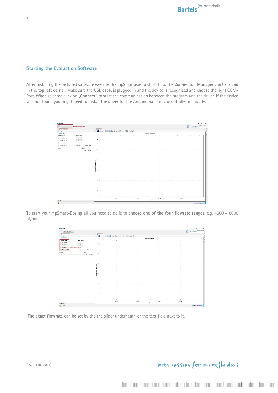### <span id="page-6-0"></span>**Starting the Evaluation Software**

After installing the included software execute the mpSmart.exe to start it up. The **Connection Manager** can be found in the **top left corner**. Make sure the USB cable is plugged in and the device is recognized and choose the right COM-Port. When selected click on "Connect" to start the communication between the program and the driver. If the device was not found you might need to install the driver for the Arduino nano microcontroller manually.

| <b>D</b> mpletud<br><b>C</b> commissional of | <b>Connection Manager</b> |                                                                                       |       |      |                 | $\epsilon$<br>$\times$<br>$\sim$<br>Bartels<br>$\mathbb{Q}$ |  |  |
|----------------------------------------------|---------------------------|---------------------------------------------------------------------------------------|-------|------|-----------------|-------------------------------------------------------------|--|--|
| Totalise Food                                | $\bullet$ .               | <b>Sig lime flot-</b>                                                                 |       |      |                 | $\cdot$ $\overline{\Box}$                                   |  |  |
| $0 - 9 -$                                    |                           |                                                                                       |       |      |                 |                                                             |  |  |
| mpSmart                                      |                           |                                                                                       |       |      | Sensor Flowcale |                                                             |  |  |
| <b>Sul Bowranger</b>                         | Pump Toggle:              |                                                                                       |       |      |                 |                                                             |  |  |
| GE NOI-TIOE Links                            | $^{m}$                    |                                                                                       |       |      |                 |                                                             |  |  |
| O 1300 - 2500 p.mai.                         | $\alpha$                  | 10                                                                                    |       |      |                 |                                                             |  |  |
| C 200 000 pm                                 |                           |                                                                                       |       |      |                 |                                                             |  |  |
| O 600-000 pres                               | 63240 Arish<br>Adult Rev. |                                                                                       |       |      |                 |                                                             |  |  |
| <b>Ebramin</b>                               | 13 ritrin                 |                                                                                       |       |      |                 |                                                             |  |  |
| ٠                                            | 500 B Lines               | $\boldsymbol{s}$                                                                      |       |      |                 |                                                             |  |  |
|                                              |                           | $\ddot{\phantom{a}}$<br>Flournie (dimin) (10°3)<br>$\overline{A}$<br>$2 -$<br>$\circ$ | 05.57 | cost | 00:07           | 00:12                                                       |  |  |
| $\bigotimes$ + Ready.                        |                           |                                                                                       |       |      | Time            |                                                             |  |  |
| <b>Contractor</b>                            |                           |                                                                                       |       |      |                 | and the state of the TITE                                   |  |  |

To start your mpSmart-Dosing all you need to do is to **choose one of the four flowrate ranges**, e.g. 4500 – 8000 µl/min.



**The exact flowrate** can be set by the the slider underneath or the text field next to it.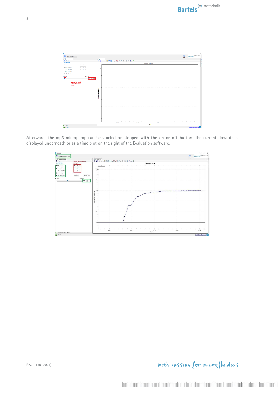

Afterwards the mp6 micropump can be **started or stopped with the on or off button**. The current flowrate is displayed underneath or as a time plot on the right of the Evaluation software.